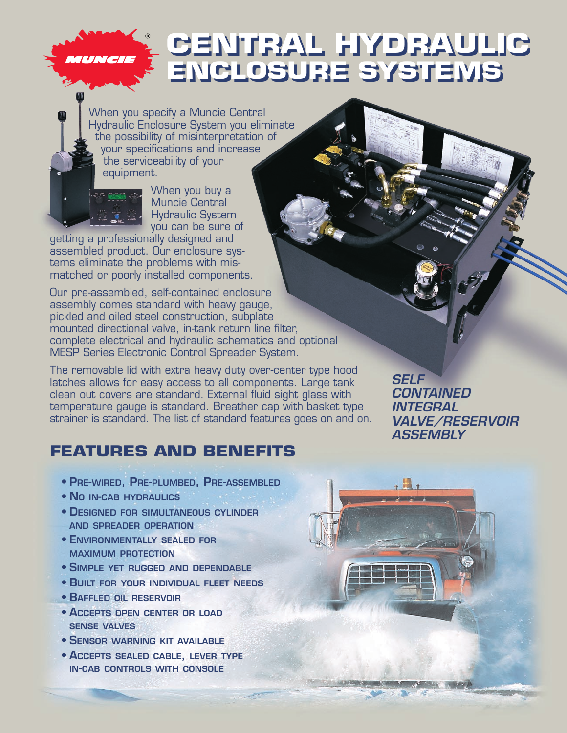## **CENTRAL HYDRAULIC CENTRAL HYDRAULIC ENCLOSURE SYSTEMS ENCLOSURE SYSTEMS**

When you specify a Muncie Central Hydraulic Enclosure System you eliminate the possibility of misinterpretation of your specifications and increase the serviceability of your equipment.



MUNCIE

When you buy a Muncie Central Hydraulic System you can be sure of

getting a professionally designed and assembled product. Our enclosure systems eliminate the problems with mismatched or poorly installed components.

Our pre-assembled, self-contained enclosure assembly comes standard with heavy gauge, pickled and oiled steel construction, subplate mounted directional valve, in-tank return line filter, complete electrical and hydraulic schematics and optional MESP Series Electronic Control Spreader System.

The removable lid with extra heavy duty over-center type hood latches allows for easy access to all components. Large tank clean out covers are standard. External fluid sight glass with temperature gauge is standard. Breather cap with basket type strainer is standard. The list of standard features goes on and on.

## **FEATURES AND BENEFITS**

- **PRE-WIRED, PRE-PLUMBED, PRE-ASSEMBLED**
- **NO IN-CAB HYDRAULICS**
- **DESIGNED FOR SIMULTANEOUS CYLINDER AND SPREADER OPERATION**
- **ENVIRONMENTALLY SEALED FOR MAXIMUM PROTECTION**
- **SIMPLE YET RUGGED AND DEPENDABLE**
- **BUILT FOR YOUR INDIVIDUAL FLEET NEEDS**
- **BAFFLED OIL RESERVOIR**
- **ACCEPTS OPEN CENTER OR LOAD SENSE VALVES**
- **SENSOR WARNING KIT AVAILABLE**
- **ACCEPTS SEALED CABLE, LEVER TYPE IN-CAB CONTROLS WITH CONSOLE**

**SELF CONTAINED INTEGRAL VALVE/RESERVOIR ASSEMBLY**